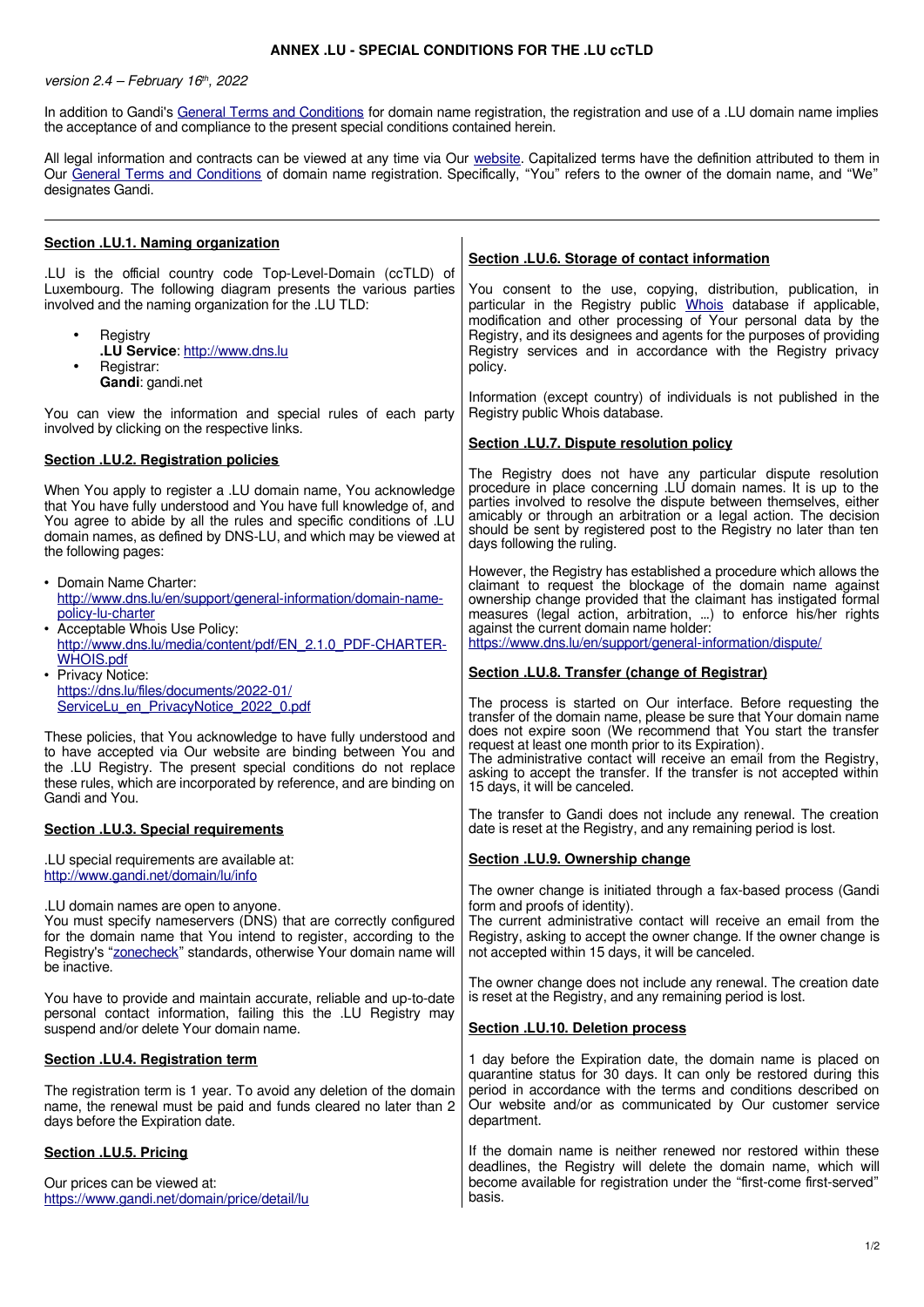## **ANNEX .LU - SPECIAL CONDITIONS FOR THE .LU ccTLD**

version  $2.4$  – February 16<sup>th</sup>, 2022

In addition to Gandi's [General Terms and Conditions](http://www.gandi.net/contracts) for domain name registration, the registration and use of a .LU domain name implies the acceptance of and compliance to the present special conditions contained herein.

All legal information and contracts can be viewed at any time via Our [website.](http://www.gandi.net/) Capitalized terms have the definition attributed to them in Our [General Terms and Conditions](http://www.gandi.net/contracts) of domain name registration. Specifically, "You" refers to the owner of the domain name, and "We" designates Gandi.

| Section .LU.1. Naming organization                                                                                                                                                                                                                                                                  |                                                                                                                                                                                                                                                                                                                                                                                     |
|-----------------------------------------------------------------------------------------------------------------------------------------------------------------------------------------------------------------------------------------------------------------------------------------------------|-------------------------------------------------------------------------------------------------------------------------------------------------------------------------------------------------------------------------------------------------------------------------------------------------------------------------------------------------------------------------------------|
| .LU is the official country code Top-Level-Domain (ccTLD) of                                                                                                                                                                                                                                        | Section .LU.6. Storage of contact information                                                                                                                                                                                                                                                                                                                                       |
| Luxembourg. The following diagram presents the various parties<br>involved and the naming organization for the .LU TLD:                                                                                                                                                                             | You consent to the use, copying, distribution, publication, in<br>particular in the Registry public Whois database if applicable,<br>modification and other processing of Your personal data by the                                                                                                                                                                                 |
| Registry<br>.LU Service: http://www.dns.lu<br>Registrar:<br>Gandi: gandi.net                                                                                                                                                                                                                        | Registry, and its designees and agents for the purposes of providing<br>Registry services and in accordance with the Registry privacy<br>policy.                                                                                                                                                                                                                                    |
| You can view the information and special rules of each party<br>involved by clicking on the respective links.                                                                                                                                                                                       | Information (except country) of individuals is not published in the<br>Registry public Whois database.                                                                                                                                                                                                                                                                              |
| Section .LU.2. Registration policies                                                                                                                                                                                                                                                                | Section .LU.7. Dispute resolution policy                                                                                                                                                                                                                                                                                                                                            |
| When You apply to register a .LU domain name, You acknowledge<br>that You have fully understood and You have full knowledge of, and<br>You agree to abide by all the rules and specific conditions of .LU<br>domain names, as defined by DNS-LU, and which may be viewed at<br>the following pages: | The Registry does not have any particular dispute resolution<br>procedure in place concerning .LU domain names. It is up to the<br>parties involved to resolve the dispute between themselves, either<br>amicably or through an arbitration or a legal action. The decision<br>should be sent by registered post to the Registry no later than ten<br>days following the ruling.    |
| • Domain Name Charter:<br>http://www.dns.lu/en/support/general-information/domain-name-<br>policy-lu-charter<br>• Acceptable Whois Use Policy:<br>http://www.dns.lu/media/content/pdf/EN 2.1.0 PDF-CHARTER-<br>WHOIS.pdf                                                                            | However, the Registry has established a procedure which allows the<br>claimant to request the blockage of the domain name against<br>ownership change provided that the claimant has instigated formal<br>measures (legal action, arbitration, ) to enforce his/her rights<br>against the current domain name holder:<br>https://www.dns.lu/en/support/general-information/dispute/ |
| • Privacy Notice:                                                                                                                                                                                                                                                                                   | Section .LU.8. Transfer (change of Registrar)                                                                                                                                                                                                                                                                                                                                       |
| https://dns.lu/files/documents/2022-01/<br>ServiceLu en PrivacyNotice 2022 0.pdf                                                                                                                                                                                                                    | The process is started on Our interface. Before requesting the<br>transfer of the domain name, please be sure that Your domain name                                                                                                                                                                                                                                                 |
| These policies, that You acknowledge to have fully understood and<br>to have accepted via Our website are binding between You and<br>the .LU Registry. The present special conditions do not replace<br>these rules, which are incorporated by reference, and are binding on<br>Gandi and You.      | does not expire soon (We recommend that You start the transfer<br>request at least one month prior to its Expiration).<br>The administrative contact will receive an email from the Registry,<br>asking to accept the transfer. If the transfer is not accepted within<br>15 days, it will be canceled.                                                                             |
| Section .LU.3. Special requirements                                                                                                                                                                                                                                                                 | The transfer to Gandi does not include any renewal. The creation<br>date is reset at the Registry, and any remaining period is lost.                                                                                                                                                                                                                                                |
| .LU special requirements are available at:<br>http://www.gandi.net/domain/lu/info                                                                                                                                                                                                                   | Section .LU.9. Ownership change                                                                                                                                                                                                                                                                                                                                                     |
| .LU domain names are open to anyone.<br>You must specify nameservers (DNS) that are correctly configured<br>for the domain name that You intend to register, according to the<br>Registry's "zonecheck" standards, otherwise Your domain name will<br>be inactive.                                  | The owner change is initiated through a fax-based process (Gandi<br>form and proofs of identity).<br>The current administrative contact will receive an email from the<br>Registry, asking to accept the owner change. If the owner change is<br>not accepted within 15 days, it will be canceled.                                                                                  |
| You have to provide and maintain accurate, reliable and up-to-date                                                                                                                                                                                                                                  | The owner change does not include any renewal. The creation date<br>is reset at the Registry, and any remaining period is lost.                                                                                                                                                                                                                                                     |
| personal contact information, failing this the .LU Registry may<br>suspend and/or delete Your domain name.                                                                                                                                                                                          | Section .LU.10. Deletion process                                                                                                                                                                                                                                                                                                                                                    |
| Section .LU.4. Registration term                                                                                                                                                                                                                                                                    | 1 day before the Expiration date, the domain name is placed on                                                                                                                                                                                                                                                                                                                      |
| The registration term is 1 year. To avoid any deletion of the domain<br>name, the renewal must be paid and funds cleared no later than 2<br>days before the Expiration date.                                                                                                                        | quarantine status for 30 days. It can only be restored during this<br>period in accordance with the terms and conditions described on<br>Our website and/or as communicated by Our customer service<br>department.                                                                                                                                                                  |
| Section .LU.5. Pricing                                                                                                                                                                                                                                                                              | If the domain name is neither renewed nor restored within these<br>deadlines, the Registry will delete the domain name, which will                                                                                                                                                                                                                                                  |
| Our prices can be viewed at:<br>https://www.gandi.net/domain/price/detail/lu                                                                                                                                                                                                                        | become available for registration under the "first-come first-served"<br>basis.                                                                                                                                                                                                                                                                                                     |